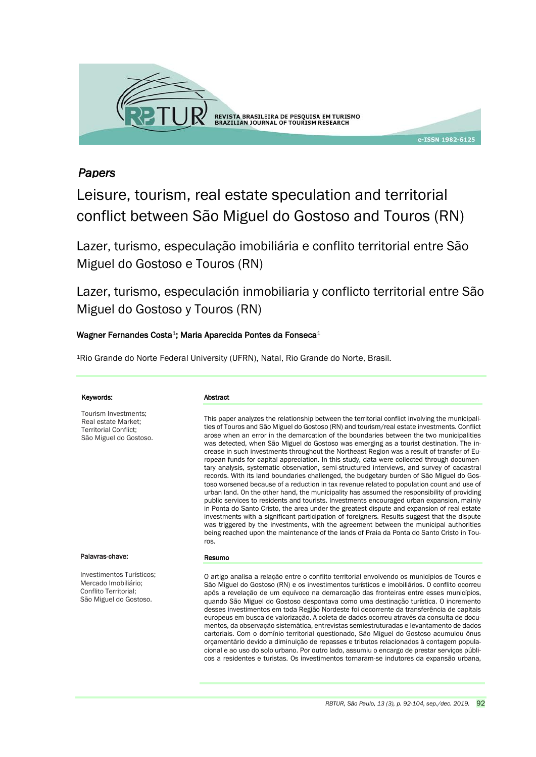

# *Papers*

Leisure, tourism, real estate speculation and territorial conflict between São Miguel do Gostoso and Touros (RN)

Lazer, turismo, especulação imobiliária e conflito territorial entre São Miguel do Gostoso e Touros (RN)

Lazer, turismo, especulación inmobiliaria y conflicto territorial entre São Miguel do Gostoso y Touros (RN)

## Wagner Fernandes Costa<sup>1</sup>; Maria Aparecida Pontes da Fonseca<sup>1</sup>

<sup>1</sup>Rio Grande do Norte Federal University (UFRN), Natal, Rio Grande do Norte, Brasil.

| Keywords:                                                                                             | Abstract                                                                                                                                                                                                                                                                                                                                                                                                                                                                                                                                                                                                                                                                                                                                                                                                                                                                                                                                                                                                                                                                                                                                                                                                                                                                                                                                                                                                                                                          |
|-------------------------------------------------------------------------------------------------------|-------------------------------------------------------------------------------------------------------------------------------------------------------------------------------------------------------------------------------------------------------------------------------------------------------------------------------------------------------------------------------------------------------------------------------------------------------------------------------------------------------------------------------------------------------------------------------------------------------------------------------------------------------------------------------------------------------------------------------------------------------------------------------------------------------------------------------------------------------------------------------------------------------------------------------------------------------------------------------------------------------------------------------------------------------------------------------------------------------------------------------------------------------------------------------------------------------------------------------------------------------------------------------------------------------------------------------------------------------------------------------------------------------------------------------------------------------------------|
| Tourism Investments:<br>Real estate Market;<br><b>Territorial Conflict:</b><br>São Miguel do Gostoso. | This paper analyzes the relationship between the territorial conflict involving the municipali-<br>ties of Touros and São Miguel do Gostoso (RN) and tourism/real estate investments. Conflict<br>arose when an error in the demarcation of the boundaries between the two municipalities<br>was detected, when São Miguel do Gostoso was emerging as a tourist destination. The in-<br>crease in such investments throughout the Northeast Region was a result of transfer of Eu-<br>ropean funds for capital appreciation. In this study, data were collected through documen-<br>tary analysis, systematic observation, semi-structured interviews, and survey of cadastral<br>records. With its land boundaries challenged, the budgetary burden of São Miguel do Gos-<br>toso worsened because of a reduction in tax revenue related to population count and use of<br>urban land. On the other hand, the municipality has assumed the responsibility of providing<br>public services to residents and tourists. Investments encouraged urban expansion, mainly<br>in Ponta do Santo Cristo, the area under the greatest dispute and expansion of real estate<br>investments with a significant participation of foreigners. Results suggest that the dispute<br>was triggered by the investments, with the agreement between the municipal authorities<br>being reached upon the maintenance of the lands of Praia da Ponta do Santo Cristo in Tou-<br>ros. |
| Palavras-chave:                                                                                       | Resumo                                                                                                                                                                                                                                                                                                                                                                                                                                                                                                                                                                                                                                                                                                                                                                                                                                                                                                                                                                                                                                                                                                                                                                                                                                                                                                                                                                                                                                                            |
| Investimentos Turísticos;<br>Mercado Imobiliário;<br>Conflito Territorial:<br>São Miguel do Gostoso.  | O artigo analisa a relação entre o conflito territorial envolvendo os municípios de Touros e<br>São Miguel do Gostoso (RN) e os investimentos turísticos e imobiliários. O conflito ocorreu<br>após a revelação de um equívoco na demarcação das fronteiras entre esses municípios,<br>quando São Miguel do Gostoso despontava como uma destinação turística. O incremento<br>desses investimentos em toda Região Nordeste foi decorrente da transferência de capitais<br>europeus em busca de valorização. A coleta de dados ocorreu através da consulta de docu-                                                                                                                                                                                                                                                                                                                                                                                                                                                                                                                                                                                                                                                                                                                                                                                                                                                                                                |

mentos, da observação sistemática, entrevistas semiestruturadas e levantamento de dados cartoriais. Com o domínio territorial questionado, São Miguel do Gostoso acumulou ônus orçamentário devido a diminuição de repasses e tributos relacionados à contagem populacional e ao uso do solo urbano. Por outro lado, assumiu o encargo de prestar serviços públicos a residentes e turistas. Os investimentos tornaram-se indutores da expansão urbana,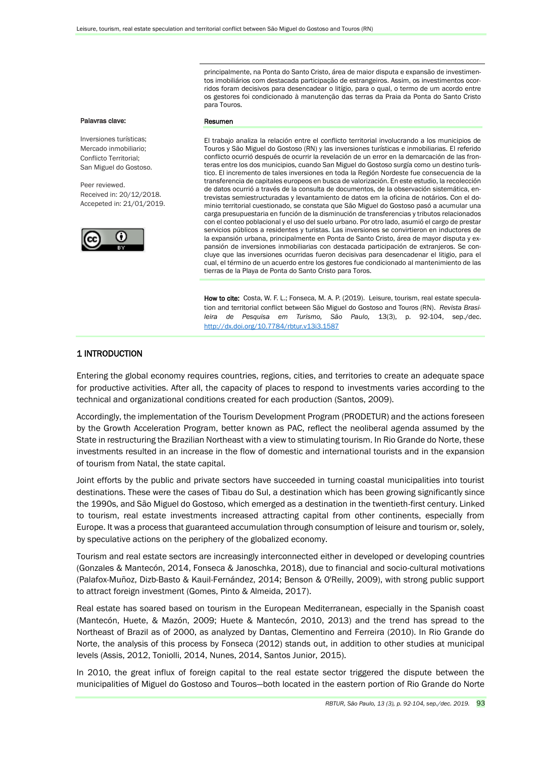principalmente, na Ponta do Santo Cristo, área de maior disputa e expansão de investimentos imobiliários com destacada participação de estrangeiros. Assim, os investimentos ocorridos foram decisivos para desencadear o litígio, para o qual, o termo de um acordo entre os gestores foi condicionado à manutenção das terras da Praia da Ponta do Santo Cristo para Touros.

#### Palavras clave:

Inversiones turísticas; Mercado inmobiliario; Conflicto Territorial; San Miguel do Gostoso.

Peer reviewed. Received in: 20/12/2018. Accepeted in: 21/01/2019.



#### Resumen

El trabajo analiza la relación entre el conflicto territorial involucrando a los municipios de Touros y São Miguel do Gostoso (RN) y las inversiones turísticas e inmobiliarias. El referido conflicto ocurrió después de ocurrir la revelación de un error en la demarcación de las fronteras entre los dos municipios, cuando San Miguel do Gostoso surgía como un destino turístico. El incremento de tales inversiones en toda la Región Nordeste fue consecuencia de la transferencia de capitales europeos en busca de valorización. En este estudio, la recolección de datos ocurrió a través de la consulta de documentos, de la observación sistemática, entrevistas semiestructuradas y levantamiento de datos em la oficina de notários. Con el dominio territorial cuestionado, se constata que São Miguel do Gostoso pasó a acumular una carga presupuestaria en función de la disminución de transferencias y tributos relacionados con el conteo poblacional y el uso del suelo urbano. Por otro lado, asumió el cargo de prestar servicios públicos a residentes y turistas. Las inversiones se convirtieron en inductores de la expansión urbana, principalmente en Ponta de Santo Cristo, área de mayor disputa y expansión de inversiones inmobiliarias con destacada participación de extranjeros. Se concluye que las inversiones ocurridas fueron decisivas para desencadenar el litigio, para el cual, el término de un acuerdo entre los gestores fue condicionado al mantenimiento de las tierras de la Playa de Ponta do Santo Cristo para Toros.

How to cite: Costa, W. F. L.; Fonseca, M. A. P. (2019). Leisure, tourism, real estate speculation and territorial conflict between São Miguel do Gostoso and Touros (RN). *Revista Brasileira de Pesquisa em Turismo, São Paulo,* 13(3), p. 92-104, sep./dec. <http://dx.doi.org/10.7784/rbtur.v13i3.1587>

### 1 INTRODUCTION

Entering the global economy requires countries, regions, cities, and territories to create an adequate space for productive activities. After all, the capacity of places to respond to investments varies according to the technical and organizational conditions created for each production (Santos, 2009).

Accordingly, the implementation of the Tourism Development Program (PRODETUR) and the actions foreseen by the Growth Acceleration Program, better known as PAC, reflect the neoliberal agenda assumed by the State in restructuring the Brazilian Northeast with a view to stimulating tourism. In Rio Grande do Norte, these investments resulted in an increase in the flow of domestic and international tourists and in the expansion of tourism from Natal, the state capital.

Joint efforts by the public and private sectors have succeeded in turning coastal municipalities into tourist destinations. These were the cases of Tibau do Sul, a destination which has been growing significantly since the 1990s, and São Miguel do Gostoso, which emerged as a destination in the twentieth-first century. Linked to tourism, real estate investments increased attracting capital from other continents, especially from Europe. It was a process that guaranteed accumulation through consumption of leisure and tourism or, solely, by speculative actions on the periphery of the globalized economy.

Tourism and real estate sectors are increasingly interconnected either in developed or developing countries (Gonzales & Mantecón, 2014, Fonseca & Janoschka, 2018), due to financial and socio-cultural motivations (Palafox-Muñoz, Dizb-Basto & Kauil-Fernández, 2014; Benson & O'Reilly, 2009), with strong public support to attract foreign investment (Gomes, Pinto & Almeida, 2017).

Real estate has soared based on tourism in the European Mediterranean, especially in the Spanish coast (Mantecón, Huete, & Mazón, 2009; Huete & Mantecón, 2010, 2013) and the trend has spread to the Northeast of Brazil as of 2000, as analyzed by Dantas, Clementino and Ferreira (2010). In Rio Grande do Norte, the analysis of this process by Fonseca (2012) stands out, in addition to other studies at municipal levels (Assis, 2012, Toniolli, 2014, Nunes, 2014, Santos Junior, 2015).

In 2010, the great influx of foreign capital to the real estate sector triggered the dispute between the municipalities of Miguel do Gostoso and Touros—both located in the eastern portion of Rio Grande do Norte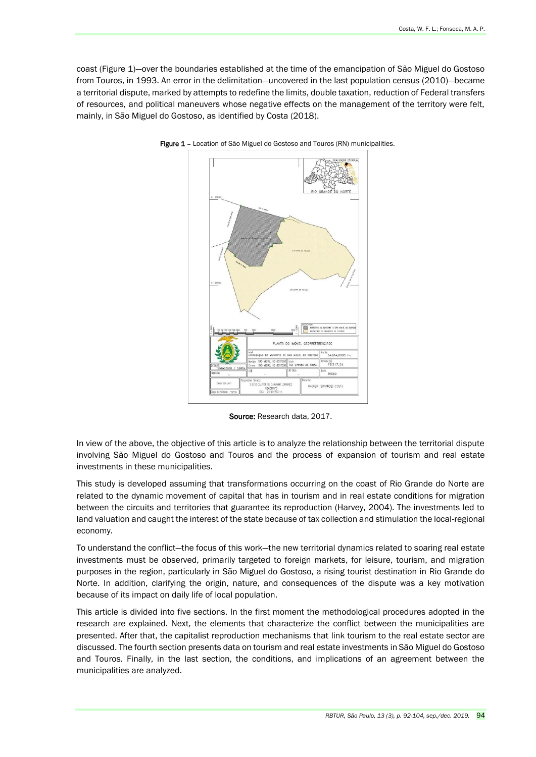coast (Figure 1)—over the boundaries established at the time of the emancipation of São Miguel do Gostoso from Touros, in 1993. An error in the delimitation—uncovered in the last population census (2010)—became a territorial dispute, marked by attempts to redefine the limits, double taxation, reduction of Federal transfers of resources, and political maneuvers whose negative effects on the management of the territory were felt, mainly, in São Miguel do Gostoso, as identified by Costa (2018).



Figure 1 - Location of São Miguel do Gostoso and Touros (RN) municipalities.

Source: Research data, 2017.

In view of the above, the objective of this article is to analyze the relationship between the territorial dispute involving São Miguel do Gostoso and Touros and the process of expansion of tourism and real estate investments in these municipalities.

This study is developed assuming that transformations occurring on the coast of Rio Grande do Norte are related to the dynamic movement of capital that has in tourism and in real estate conditions for migration between the circuits and territories that guarantee its reproduction (Harvey, 2004). The investments led to land valuation and caught the interest of the state because of tax collection and stimulation the local-regional economy.

To understand the conflict—the focus of this work—the new territorial dynamics related to soaring real estate investments must be observed, primarily targeted to foreign markets, for leisure, tourism, and migration purposes in the region, particularly in São Miguel do Gostoso, a rising tourist destination in Rio Grande do Norte. In addition, clarifying the origin, nature, and consequences of the dispute was a key motivation because of its impact on daily life of local population.

This article is divided into five sections. In the first moment the methodological procedures adopted in the research are explained. Next, the elements that characterize the conflict between the municipalities are presented. After that, the capitalist reproduction mechanisms that link tourism to the real estate sector are discussed. The fourth section presents data on tourism and real estate investments in São Miguel do Gostoso and Touros. Finally, in the last section, the conditions, and implications of an agreement between the municipalities are analyzed.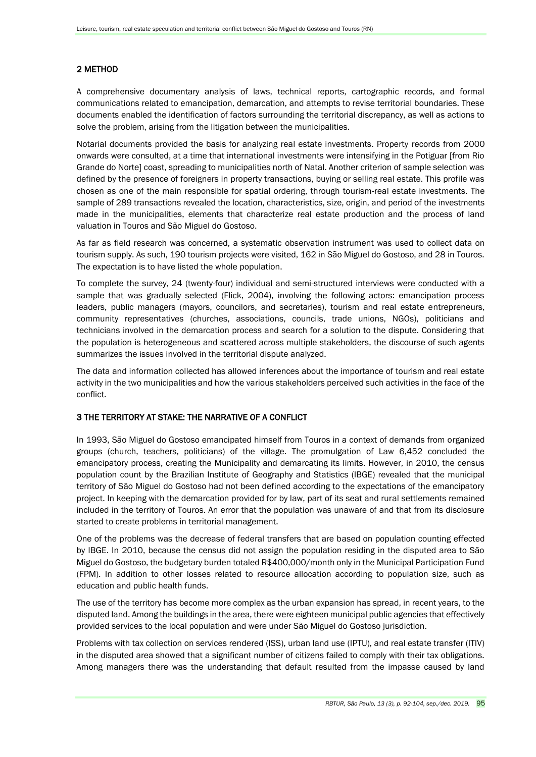# 2 METHOD

A comprehensive documentary analysis of laws, technical reports, cartographic records, and formal communications related to emancipation, demarcation, and attempts to revise territorial boundaries. These documents enabled the identification of factors surrounding the territorial discrepancy, as well as actions to solve the problem, arising from the litigation between the municipalities.

Notarial documents provided the basis for analyzing real estate investments. Property records from 2000 onwards were consulted, at a time that international investments were intensifying in the Potiguar [from Rio Grande do Norte] coast, spreading to municipalities north of Natal. Another criterion of sample selection was defined by the presence of foreigners in property transactions, buying or selling real estate. This profile was chosen as one of the main responsible for spatial ordering, through tourism-real estate investments. The sample of 289 transactions revealed the location, characteristics, size, origin, and period of the investments made in the municipalities, elements that characterize real estate production and the process of land valuation in Touros and São Miguel do Gostoso.

As far as field research was concerned, a systematic observation instrument was used to collect data on tourism supply. As such, 190 tourism projects were visited, 162 in São Miguel do Gostoso, and 28 in Touros. The expectation is to have listed the whole population.

To complete the survey, 24 (twenty-four) individual and semi-structured interviews were conducted with a sample that was gradually selected (Flick, 2004), involving the following actors: emancipation process leaders, public managers (mayors, councilors, and secretaries), tourism and real estate entrepreneurs, community representatives (churches, associations, councils, trade unions, NGOs), politicians and technicians involved in the demarcation process and search for a solution to the dispute. Considering that the population is heterogeneous and scattered across multiple stakeholders, the discourse of such agents summarizes the issues involved in the territorial dispute analyzed.

The data and information collected has allowed inferences about the importance of tourism and real estate activity in the two municipalities and how the various stakeholders perceived such activities in the face of the conflict.

## 3 THE TERRITORY AT STAKE: THE NARRATIVE OF A CONFLICT

In 1993, São Miguel do Gostoso emancipated himself from Touros in a context of demands from organized groups (church, teachers, politicians) of the village. The promulgation of Law 6,452 concluded the emancipatory process, creating the Municipality and demarcating its limits. However, in 2010, the census population count by the Brazilian Institute of Geography and Statistics (IBGE) revealed that the municipal territory of São Miguel do Gostoso had not been defined according to the expectations of the emancipatory project. In keeping with the demarcation provided for by law, part of its seat and rural settlements remained included in the territory of Touros. An error that the population was unaware of and that from its disclosure started to create problems in territorial management.

One of the problems was the decrease of federal transfers that are based on population counting effected by IBGE. In 2010, because the census did not assign the population residing in the disputed area to São Miguel do Gostoso, the budgetary burden totaled R\$400,000/month only in the Municipal Participation Fund (FPM). In addition to other losses related to resource allocation according to population size, such as education and public health funds.

The use of the territory has become more complex as the urban expansion has spread, in recent years, to the disputed land. Among the buildings in the area, there were eighteen municipal public agencies that effectively provided services to the local population and were under São Miguel do Gostoso jurisdiction.

Problems with tax collection on services rendered (ISS), urban land use (IPTU), and real estate transfer (ITIV) in the disputed area showed that a significant number of citizens failed to comply with their tax obligations. Among managers there was the understanding that default resulted from the impasse caused by land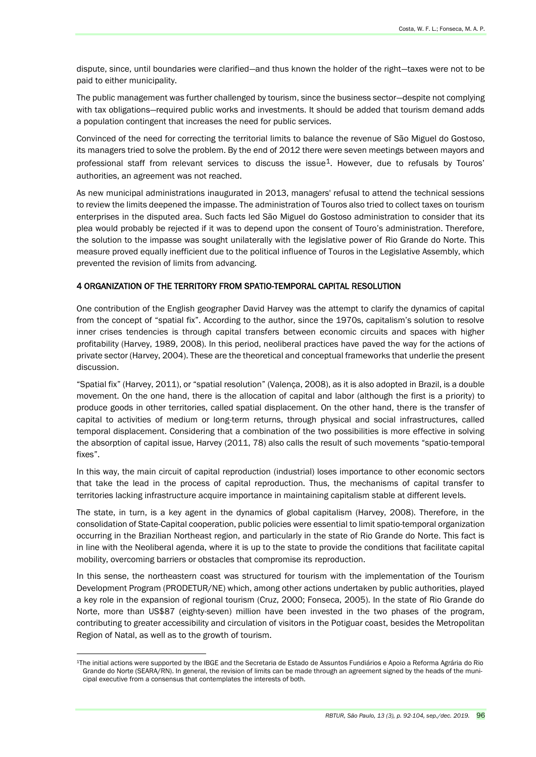dispute, since, until boundaries were clarified—and thus known the holder of the right—taxes were not to be paid to either municipality.

The public management was further challenged by tourism, since the business sector—despite not complying with tax obligations—required public works and investments. It should be added that tourism demand adds a population contingent that increases the need for public services.

Convinced of the need for correcting the territorial limits to balance the revenue of São Miguel do Gostoso, its managers tried to solve the problem. By the end of 2012 there were seven meetings between mayors and professional staff from relevant services to discuss the issue<sup>1</sup>. However, due to refusals by Touros' authorities, an agreement was not reached.

As new municipal administrations inaugurated in 2013, managers' refusal to attend the technical sessions to review the limits deepened the impasse. The administration of Touros also tried to collect taxes on tourism enterprises in the disputed area. Such facts led São Miguel do Gostoso administration to consider that its plea would probably be rejected if it was to depend upon the consent of Touro's administration. Therefore, the solution to the impasse was sought unilaterally with the legislative power of Rio Grande do Norte. This measure proved equally inefficient due to the political influence of Touros in the Legislative Assembly, which prevented the revision of limits from advancing.

### 4 ORGANIZATION OF THE TERRITORY FROM SPATIO-TEMPORAL CAPITAL RESOLUTION

One contribution of the English geographer David Harvey was the attempt to clarify the dynamics of capital from the concept of "spatial fix". According to the author, since the 1970s, capitalism's solution to resolve inner crises tendencies is through capital transfers between economic circuits and spaces with higher profitability (Harvey, 1989, 2008). In this period, neoliberal practices have paved the way for the actions of private sector (Harvey, 2004). These are the theoretical and conceptual frameworks that underlie the present discussion.

"Spatial fix" (Harvey, 2011), or "spatial resolution" (Valença, 2008), as it is also adopted in Brazil, is a double movement. On the one hand, there is the allocation of capital and labor (although the first is a priority) to produce goods in other territories, called spatial displacement. On the other hand, there is the transfer of capital to activities of medium or long-term returns, through physical and social infrastructures, called temporal displacement. Considering that a combination of the two possibilities is more effective in solving the absorption of capital issue, Harvey (2011, 78) also calls the result of such movements "spatio-temporal fixes".

In this way, the main circuit of capital reproduction (industrial) loses importance to other economic sectors that take the lead in the process of capital reproduction. Thus, the mechanisms of capital transfer to territories lacking infrastructure acquire importance in maintaining capitalism stable at different levels.

The state, in turn, is a key agent in the dynamics of global capitalism (Harvey, 2008). Therefore, in the consolidation of State-Capital cooperation, public policies were essential to limit spatio-temporal organization occurring in the Brazilian Northeast region, and particularly in the state of Rio Grande do Norte. This fact is in line with the Neoliberal agenda, where it is up to the state to provide the conditions that facilitate capital mobility, overcoming barriers or obstacles that compromise its reproduction.

In this sense, the northeastern coast was structured for tourism with the implementation of the Tourism Development Program (PRODETUR/NE) which, among other actions undertaken by public authorities, played a key role in the expansion of regional tourism (Cruz, 2000; Fonseca, 2005). In the state of Rio Grande do Norte, more than US\$87 (eighty-seven) million have been invested in the two phases of the program, contributing to greater accessibility and circulation of visitors in the Potiguar coast, besides the Metropolitan Region of Natal, as well as to the growth of tourism.

<sup>1</sup>The initial actions were supported by the IBGE and the Secretaria de Estado de Assuntos Fundiários e Apoio a Reforma Agrária do Rio Grande do Norte (SEARA/RN). In general, the revision of limits can be made through an agreement signed by the heads of the municipal executive from a consensus that contemplates the interests of both.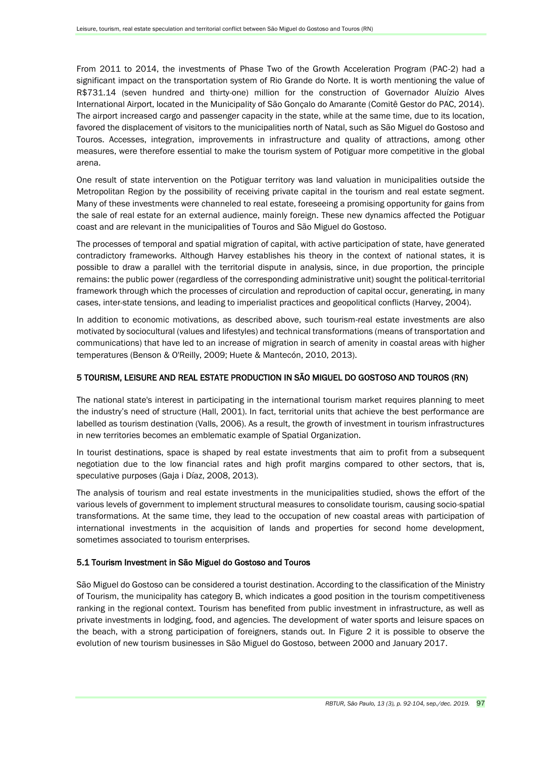From 2011 to 2014, the investments of Phase Two of the Growth Acceleration Program (PAC-2) had a significant impact on the transportation system of Rio Grande do Norte. It is worth mentioning the value of R\$731.14 (seven hundred and thirty-one) million for the construction of Governador Aluízio Alves International Airport, located in the Municipality of São Gonçalo do Amarante (Comitê Gestor do PAC, 2014). The airport increased cargo and passenger capacity in the state, while at the same time, due to its location, favored the displacement of visitors to the municipalities north of Natal, such as São Miguel do Gostoso and Touros. Accesses, integration, improvements in infrastructure and quality of attractions, among other measures, were therefore essential to make the tourism system of Potiguar more competitive in the global arena.

One result of state intervention on the Potiguar territory was land valuation in municipalities outside the Metropolitan Region by the possibility of receiving private capital in the tourism and real estate segment. Many of these investments were channeled to real estate, foreseeing a promising opportunity for gains from the sale of real estate for an external audience, mainly foreign. These new dynamics affected the Potiguar coast and are relevant in the municipalities of Touros and São Miguel do Gostoso.

The processes of temporal and spatial migration of capital, with active participation of state, have generated contradictory frameworks. Although Harvey establishes his theory in the context of national states, it is possible to draw a parallel with the territorial dispute in analysis, since, in due proportion, the principle remains: the public power (regardless of the corresponding administrative unit) sought the political-territorial framework through which the processes of circulation and reproduction of capital occur, generating, in many cases, inter-state tensions, and leading to imperialist practices and geopolitical conflicts (Harvey, 2004).

In addition to economic motivations, as described above, such tourism-real estate investments are also motivated by sociocultural (values and lifestyles) and technical transformations (means of transportation and communications) that have led to an increase of migration in search of amenity in coastal areas with higher temperatures (Benson & O'Reilly, 2009; Huete & Mantecón, 2010, 2013).

### 5 TOURISM, LEISURE AND REAL ESTATE PRODUCTION IN SÃO MIGUEL DO GOSTOSO AND TOUROS (RN)

The national state's interest in participating in the international tourism market requires planning to meet the industry's need of structure (Hall, 2001). In fact, territorial units that achieve the best performance are labelled as tourism destination (Valls, 2006). As a result, the growth of investment in tourism infrastructures in new territories becomes an emblematic example of Spatial Organization.

In tourist destinations, space is shaped by real estate investments that aim to profit from a subsequent negotiation due to the low financial rates and high profit margins compared to other sectors, that is, speculative purposes (Gaja i Díaz, 2008, 2013).

The analysis of tourism and real estate investments in the municipalities studied, shows the effort of the various levels of government to implement structural measures to consolidate tourism, causing socio-spatial transformations. At the same time, they lead to the occupation of new coastal areas with participation of international investments in the acquisition of lands and properties for second home development, sometimes associated to tourism enterprises.

### 5.1 Tourism Investment in São Miguel do Gostoso and Touros

São Miguel do Gostoso can be considered a tourist destination. According to the classification of the Ministry of Tourism, the municipality has category B, which indicates a good position in the tourism competitiveness ranking in the regional context. Tourism has benefited from public investment in infrastructure, as well as private investments in lodging, food, and agencies. The development of water sports and leisure spaces on the beach, with a strong participation of foreigners, stands out. In Figure 2 it is possible to observe the evolution of new tourism businesses in São Miguel do Gostoso, between 2000 and January 2017.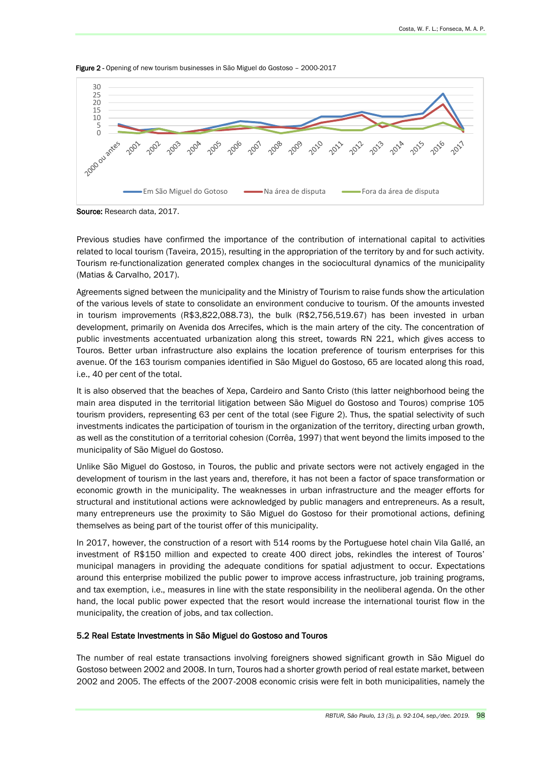

Figure 2 - Opening of new tourism businesses in São Miguel do Gostoso - 2000-2017

Source: Research data, 2017.

Previous studies have confirmed the importance of the contribution of international capital to activities related to local tourism (Taveira, 2015), resulting in the appropriation of the territory by and for such activity. Tourism re-functionalization generated complex changes in the sociocultural dynamics of the municipality (Matias & Carvalho, 2017).

Agreements signed between the municipality and the Ministry of Tourism to raise funds show the articulation of the various levels of state to consolidate an environment conducive to tourism. Of the amounts invested in tourism improvements (R\$3,822,088.73), the bulk (R\$2,756,519.67) has been invested in urban development, primarily on Avenida dos Arrecifes, which is the main artery of the city. The concentration of public investments accentuated urbanization along this street, towards RN 221, which gives access to Touros. Better urban infrastructure also explains the location preference of tourism enterprises for this avenue. Of the 163 tourism companies identified in São Miguel do Gostoso, 65 are located along this road, i.e., 40 per cent of the total.

It is also observed that the beaches of Xepa, Cardeiro and Santo Cristo (this latter neighborhood being the main area disputed in the territorial litigation between São Miguel do Gostoso and Touros) comprise 105 tourism providers, representing 63 per cent of the total (see Figure 2). Thus, the spatial selectivity of such investments indicates the participation of tourism in the organization of the territory, directing urban growth, as well as the constitution of a territorial cohesion (Corrêa, 1997) that went beyond the limits imposed to the municipality of São Miguel do Gostoso.

Unlike São Miguel do Gostoso, in Touros, the public and private sectors were not actively engaged in the development of tourism in the last years and, therefore, it has not been a factor of space transformation or economic growth in the municipality. The weaknesses in urban infrastructure and the meager efforts for structural and institutional actions were acknowledged by public managers and entrepreneurs. As a result, many entrepreneurs use the proximity to São Miguel do Gostoso for their promotional actions, defining themselves as being part of the tourist offer of this municipality.

In 2017, however, the construction of a resort with 514 rooms by the Portuguese hotel chain Vila Gallé, an investment of R\$150 million and expected to create 400 direct jobs, rekindles the interest of Touros' municipal managers in providing the adequate conditions for spatial adjustment to occur. Expectations around this enterprise mobilized the public power to improve access infrastructure, job training programs, and tax exemption, i.e., measures in line with the state responsibility in the neoliberal agenda. On the other hand, the local public power expected that the resort would increase the international tourist flow in the municipality, the creation of jobs, and tax collection.

#### 5.2 Real Estate Investments in São Miguel do Gostoso and Touros

The number of real estate transactions involving foreigners showed significant growth in São Miguel do Gostoso between 2002 and 2008. In turn, Touros had a shorter growth period of real estate market, between 2002 and 2005. The effects of the 2007-2008 economic crisis were felt in both municipalities, namely the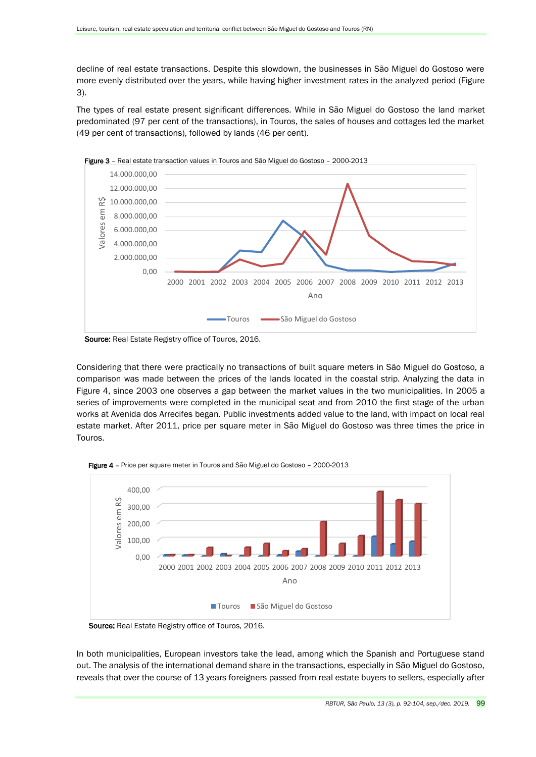decline of real estate transactions. Despite this slowdown, the businesses in São Miguel do Gostoso were more evenly distributed over the years, while having higher investment rates in the analyzed period (Figure 3).

The types of real estate present significant differences. While in São Miguel do Gostoso the land market predominated (97 per cent of the transactions), in Touros, the sales of houses and cottages led the market (49 per cent of transactions), followed by lands (46 per cent).



Source: Real Estate Registry office of Touros, 2016.

Considering that there were practically no transactions of built square meters in São Miguel do Gostoso, a comparison was made between the prices of the lands located in the coastal strip. Analyzing the data in Figure 4, since 2003 one observes a gap between the market values in the two municipalities. In 2005 a series of improvements were completed in the municipal seat and from 2010 the first stage of the urban works at Avenida dos Arrecifes began. Public investments added value to the land, with impact on local real estate market. After 2011, price per square meter in São Miguel do Gostoso was three times the price in Touros.



Figure 4 - Price per square meter in Touros and São Miguel do Gostoso - 2000-2013

Source: Real Estate Registry office of Touros, 2016.

In both municipalities, European investors take the lead, among which the Spanish and Portuguese stand out. The analysis of the international demand share in the transactions, especially in São Miguel do Gostoso, reveals that over the course of 13 years foreigners passed from real estate buyers to sellers, especially after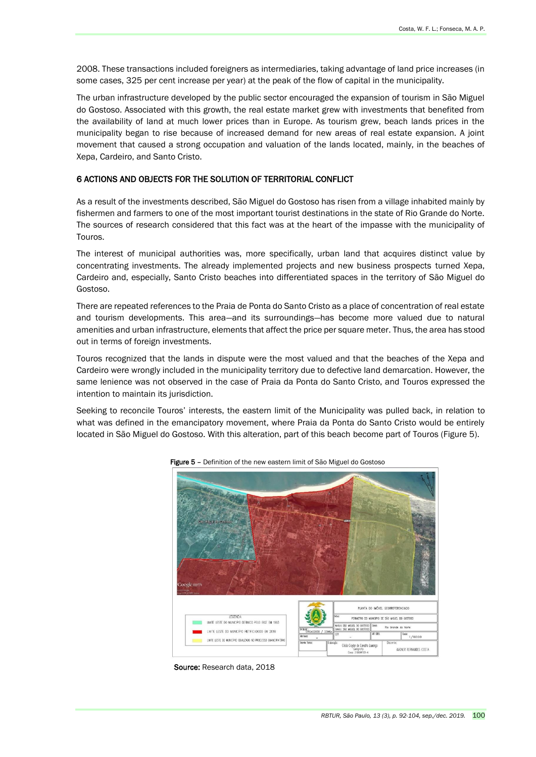2008. These transactions included foreigners as intermediaries, taking advantage of land price increases (in some cases, 325 per cent increase per year) at the peak of the flow of capital in the municipality.

The urban infrastructure developed by the public sector encouraged the expansion of tourism in São Miguel do Gostoso. Associated with this growth, the real estate market grew with investments that benefited from the availability of land at much lower prices than in Europe. As tourism grew, beach lands prices in the municipality began to rise because of increased demand for new areas of real estate expansion. A joint movement that caused a strong occupation and valuation of the lands located, mainly, in the beaches of Xepa, Cardeiro, and Santo Cristo.

#### 6 ACTIONS AND OBJECTS FOR THE SOLUTION OF TERRITORIAL CONFLICT

As a result of the investments described, São Miguel do Gostoso has risen from a village inhabited mainly by fishermen and farmers to one of the most important tourist destinations in the state of Rio Grande do Norte. The sources of research considered that this fact was at the heart of the impasse with the municipality of Touros.

The interest of municipal authorities was, more specifically, urban land that acquires distinct value by concentrating investments. The already implemented projects and new business prospects turned Xepa, Cardeiro and, especially, Santo Cristo beaches into differentiated spaces in the territory of São Miguel do Gostoso.

There are repeated references to the Praia de Ponta do Santo Cristo as a place of concentration of real estate and tourism developments. This area—and its surroundings—has become more valued due to natural amenities and urban infrastructure, elements that affect the price per square meter. Thus, the area has stood out in terms of foreign investments.

Touros recognized that the lands in dispute were the most valued and that the beaches of the Xepa and Cardeiro were wrongly included in the municipality territory due to defective land demarcation. However, the same lenience was not observed in the case of Praia da Ponta do Santo Cristo, and Touros expressed the intention to maintain its jurisdiction.

Seeking to reconcile Touros' interests, the eastern limit of the Municipality was pulled back, in relation to what was defined in the emancipatory movement, where Praia da Ponta do Santo Cristo would be entirely located in São Miguel do Gostoso. With this alteration, part of this beach become part of Touros (Figure 5).



Figure 5 – Definition of the new eastern limit of São Miguel do Gostoso

Source: Research data, 2018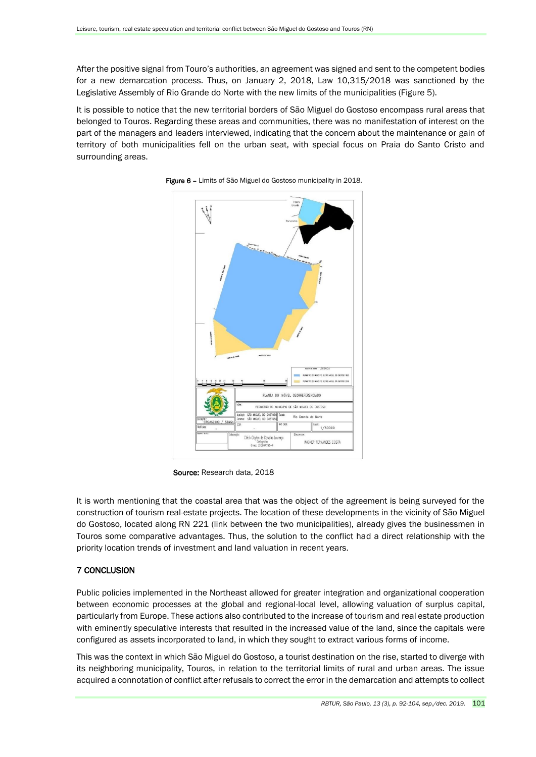After the positive signal from Touro's authorities, an agreement was signed and sent to the competent bodies for a new demarcation process. Thus, on January 2, 2018, Law 10,315/2018 was sanctioned by the Legislative Assembly of Rio Grande do Norte with the new limits of the municipalities (Figure 5).

It is possible to notice that the new territorial borders of São Miguel do Gostoso encompass rural areas that belonged to Touros. Regarding these areas and communities, there was no manifestation of interest on the part of the managers and leaders interviewed, indicating that the concern about the maintenance or gain of territory of both municipalities fell on the urban seat, with special focus on Praia do Santo Cristo and surrounding areas.





Source: Research data, 2018

It is worth mentioning that the coastal area that was the object of the agreement is being surveyed for the construction of tourism real-estate projects. The location of these developments in the vicinity of São Miguel do Gostoso, located along RN 221 (link between the two municipalities), already gives the businessmen in Touros some comparative advantages. Thus, the solution to the conflict had a direct relationship with the priority location trends of investment and land valuation in recent years.

## 7 CONCLUSION

Public policies implemented in the Northeast allowed for greater integration and organizational cooperation between economic processes at the global and regional-local level, allowing valuation of surplus capital, particularly from Europe. These actions also contributed to the increase of tourism and real estate production with eminently speculative interests that resulted in the increased value of the land, since the capitals were configured as assets incorporated to land, in which they sought to extract various forms of income.

This was the context in which São Miguel do Gostoso, a tourist destination on the rise, started to diverge with its neighboring municipality, Touros, in relation to the territorial limits of rural and urban areas. The issue acquired a connotation of conflict after refusals to correct the error in the demarcation and attempts to collect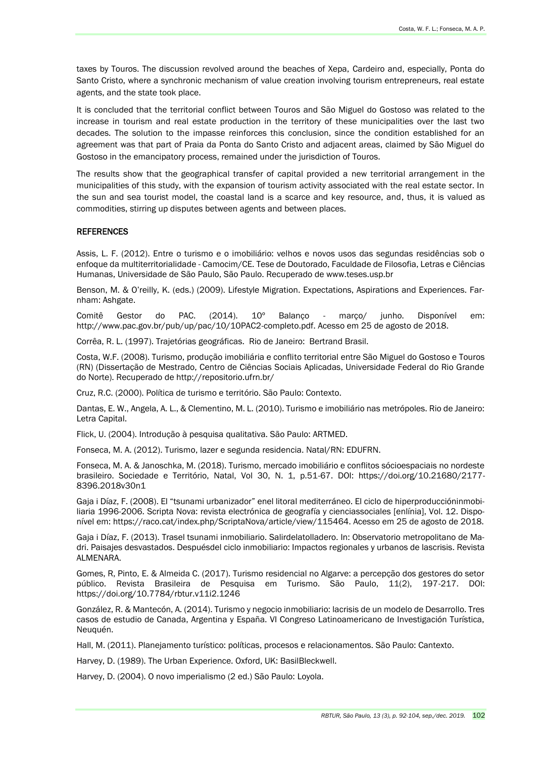taxes by Touros. The discussion revolved around the beaches of Xepa, Cardeiro and, especially, Ponta do Santo Cristo, where a synchronic mechanism of value creation involving tourism entrepreneurs, real estate agents, and the state took place.

It is concluded that the territorial conflict between Touros and São Miguel do Gostoso was related to the increase in tourism and real estate production in the territory of these municipalities over the last two decades. The solution to the impasse reinforces this conclusion, since the condition established for an agreement was that part of Praia da Ponta do Santo Cristo and adjacent areas, claimed by São Miguel do Gostoso in the emancipatory process, remained under the jurisdiction of Touros.

The results show that the geographical transfer of capital provided a new territorial arrangement in the municipalities of this study, with the expansion of tourism activity associated with the real estate sector. In the sun and sea tourist model, the coastal land is a scarce and key resource, and, thus, it is valued as commodities, stirring up disputes between agents and between places.

#### **REFERENCES**

Assis, L. F. (2012). Entre o turismo e o imobiliário: velhos e novos usos das segundas residências sob o enfoque da multiterritorialidade - Camocim/CE. Tese de Doutorado, Faculdade de Filosofia, Letras e Ciências Humanas, Universidade de São Paulo, São Paulo. Recuperado de www.teses.usp.br

Benson, M. & O'reilly, K. (eds.) (2009). Lifestyle Migration. Expectations, Aspirations and Experiences. Farnham: Ashgate.

Comitê Gestor do PAC. (2014). 10º Balanço - março/ junho. Disponível em: http://www.pac.gov.br/pub/up/pac/10/10PAC2-completo.pdf. Acesso em 25 de agosto de 2018.

Corrêa, R. L. (1997). Trajetórias geográficas. Rio de Janeiro: Bertrand Brasil.

Costa, W.F. (2008). Turismo, produção imobiliária e conflito territorial entre São Miguel do Gostoso e Touros (RN) (Dissertação de Mestrado, Centro de Ciências Sociais Aplicadas, Universidade Federal do Rio Grande do Norte). Recuperado de http://repositorio.ufrn.br/

Cruz, R.C. (2000). Política de turismo e território. São Paulo: Contexto.

Dantas, E. W., Angela, A. L., & Clementino, M. L. (2010). Turismo e imobiliário nas metrópoles. Rio de Janeiro: Letra Capital.

Flick, U. (2004). Introdução à pesquisa qualitativa. São Paulo: ARTMED.

Fonseca, M. A. (2012). Turismo, lazer e segunda residencia. Natal/RN: EDUFRN.

Fonseca, M. A. & Janoschka, M. (2018). Turismo, mercado imobiliário e conflitos sócioespaciais no nordeste brasileiro. Sociedade e Território, Natal, Vol 30, N. 1, p.51-67. DOI: https://doi.org/10.21680/2177- 8396.2018v30n1

Gaja i Díaz, F. (2008). El "tsunami urbanizador" enel litoral mediterráneo. El ciclo de hiperproduccióninmobiliaria 1996-2006. Scripta Nova: revista electrónica de geografía y cienciassociales [enlínia], Vol. 12. Disponível em: https://raco.cat/index.php/ScriptaNova/article/view/115464. Acesso em 25 de agosto de 2018.

Gaja i Díaz, F. (2013). Trasel tsunami inmobiliario. Salirdelatolladero. In: Observatorio metropolitano de Madri. Paisajes desvastados. Despuésdel ciclo inmobiliario: Impactos regionales y urbanos de lascrisis. Revista ALMENARA.

Gomes, R, Pinto, E. & Almeida C. (2017). Turismo residencial no Algarve: a percepção dos gestores do setor público. Revista Brasileira de Pesquisa em Turismo. São Paulo, 11(2), 197-217. DOI: https://doi.org/10.7784/rbtur.v11i2.1246

González, R. & Mantecón, A. (2014). Turismo y negocio inmobiliario: lacrisis de un modelo de Desarrollo. Tres casos de estudio de Canada, Argentina y España. VI Congreso Latinoamericano de Investigación Turística, Neuquén.

Hall, M. (2011). Planejamento turístico: políticas, procesos e relacionamentos. São Paulo: Cantexto.

Harvey, D. (1989). The Urban Experience. Oxford, UK: BasilBleckwell.

Harvey, D. (2004). O novo imperialismo (2 ed.) São Paulo: Loyola.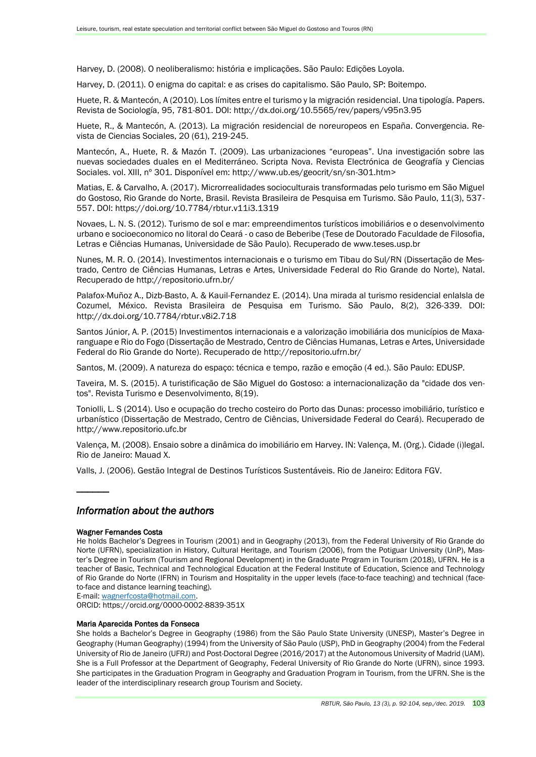Harvey, D. (2008). O neoliberalismo: história e implicações. São Paulo: Edições Loyola.

Harvey, D. (2011). O enigma do capital: e as crises do capitalismo. São Paulo, SP: Boitempo.

Huete, R. & Mantecón, A (2010). Los límites entre el turismo y la migración residencial. Una tipología. Papers. Revista de Sociología, 95, 781-801. DOI: http://dx.doi.org/10.5565/rev/papers/v95n3.95

Huete, R., & Mantecón, A. (2013). La migración residencial de noreuropeos en España. Convergencia. Revista de Ciencias Sociales, 20 (61), 219-245.

Mantecón, A., Huete, R. & Mazón T. (2009). Las urbanizaciones "europeas". Una investigación sobre las nuevas sociedades duales en el Mediterráneo. Scripta Nova. Revista Electrónica de Geografía y Ciencias Sociales. vol. XIII, nº 301. Disponível em: http://www.ub.es/geocrit/sn/sn-301.htm>

Matias, E. & Carvalho, A. (2017). Microrrealidades socioculturais transformadas pelo turismo em São Miguel do Gostoso, Rio Grande do Norte, Brasil. Revista Brasileira de Pesquisa em Turismo. São Paulo, 11(3), 537- 557. DOI: https://doi.org/10.7784/rbtur.v11i3.1319

Novaes, L. N. S. (2012). Turismo de sol e mar: empreendimentos turísticos imobiliários e o desenvolvimento urbano e socioeconomico no litoral do Ceará - o caso de Beberibe (Tese de Doutorado Faculdade de Filosofia, Letras e Ciências Humanas, Universidade de São Paulo). Recuperado de www.teses.usp.br

Nunes, M. R. O. (2014). Investimentos internacionais e o turismo em Tibau do Sul/RN (Dissertação de Mestrado, Centro de Ciências Humanas, Letras e Artes, Universidade Federal do Rio Grande do Norte), Natal. Recuperado de http://repositorio.ufrn.br/

Palafox-Muñoz A., Dizb-Basto, A. & Kauil-Fernandez E. (2014). Una mirada al turismo residencial enlaIsla de Cozumel, México. Revista Brasileira de Pesquisa em Turismo. São Paulo, 8(2), 326-339. DOI: http://dx.doi.org/10.7784/rbtur.v8i2.718

Santos Júnior, A. P. (2015) Investimentos internacionais e a valorização imobiliária dos municípios de Maxaranguape e Rio do Fogo (Dissertação de Mestrado, Centro de Ciências Humanas, Letras e Artes, Universidade Federal do Rio Grande do Norte). Recuperado de http://repositorio.ufrn.br/

Santos, M. (2009). A natureza do espaço: técnica e tempo, razão e emoção (4 ed.). São Paulo: EDUSP.

Taveira, M. S. (2015). A turistificação de São Miguel do Gostoso: a internacionalização da "cidade dos ventos". Revista Turismo e Desenvolvimento, 8(19).

Toniolli, L. S (2014). Uso e ocupação do trecho costeiro do Porto das Dunas: processo imobiliário, turístico e urbanístico (Dissertação de Mestrado, Centro de Ciências, Universidade Federal do Ceará). Recuperado de http://www.repositorio.ufc.br

Valença, M. (2008). Ensaio sobre a dinâmica do imobiliário em Harvey. IN: Valença, M. (Org.). Cidade (i)legal. Rio de Janeiro: Mauad X.

Valls, J. (2006). Gestão Integral de Destinos Turísticos Sustentáveis. Rio de Janeiro: Editora FGV.

## *Information about the authors*

#### Wagner Fernandes Costa

 $\overline{\phantom{a}}$ 

He holds Bachelor's Degrees in Tourism (2001) and in Geography (2013), from the Federal University of Rio Grande do Norte (UFRN), specialization in History, Cultural Heritage, and Tourism (2006), from the Potiguar University (UnP), Master's Degree in Tourism (Tourism and Regional Development) in the Graduate Program in Tourism (2018), UFRN. He is a teacher of Basic, Technical and Technological Education at the Federal Institute of Education, Science and Technology of Rio Grande do Norte (IFRN) in Tourism and Hospitality in the upper levels (face-to-face teaching) and technical (faceto-face and distance learning teaching).

E-mail: [wagnerfcosta@hotmail.com.](mailto:wagnerfcosta@hotmail.com)

ORCID: https://orcid.org/0000-0002-8839-351X

#### Maria Aparecida Pontes da Fonseca

She holds a Bachelor's Degree in Geography (1986) from the São Paulo State University (UNESP), Master's Degree in Geography (Human Geography) (1994) from the University of São Paulo (USP), PhD in Geography (2004) from the Federal University of Rio de Janeiro (UFRJ) and Post-Doctoral Degree (2016/2017) at the Autonomous University of Madrid (UAM). She is a Full Professor at the Department of Geography, Federal University of Rio Grande do Norte (UFRN), since 1993. She participates in the Graduation Program in Geography and Graduation Program in Tourism, from the UFRN. She is the leader of the interdisciplinary research group Tourism and Society.